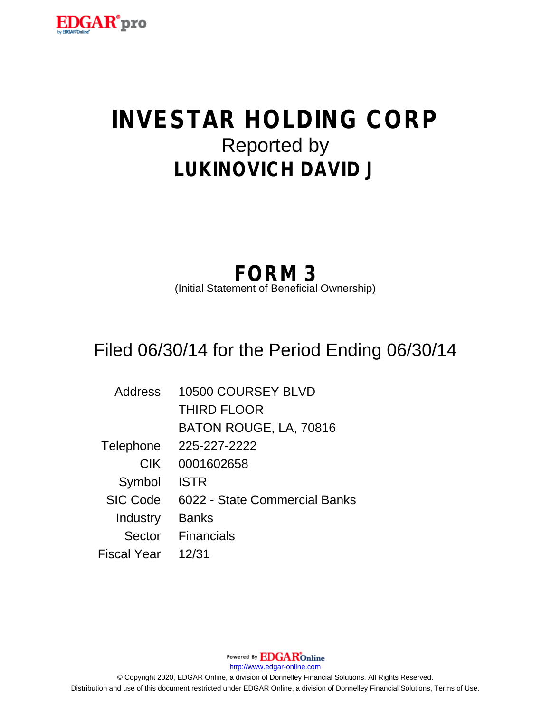

# **INVESTAR HOLDING CORP** Reported by **LUKINOVICH DAVID J**

# **FORM 3**

(Initial Statement of Beneficial Ownership)

# Filed 06/30/14 for the Period Ending 06/30/14

| Address         | 10500 COURSEY BLVD            |
|-----------------|-------------------------------|
|                 | <b>THIRD FLOOR</b>            |
|                 | BATON ROUGE, LA, 70816        |
| Telephone       | 225-227-2222                  |
| <b>CIK</b>      | 0001602658                    |
| Symbol          | <b>ISTR</b>                   |
| <b>SIC Code</b> | 6022 - State Commercial Banks |
| Industry        | <b>Banks</b>                  |
| Sector          | <b>Financials</b>             |
| Fiscal Year     | 12/31                         |

Powered By **EDGAR**Online http://www.edgar-online.com © Copyright 2020, EDGAR Online, a division of Donnelley Financial Solutions. All Rights Reserved. Distribution and use of this document restricted under EDGAR Online, a division of Donnelley Financial Solutions, Terms of Use.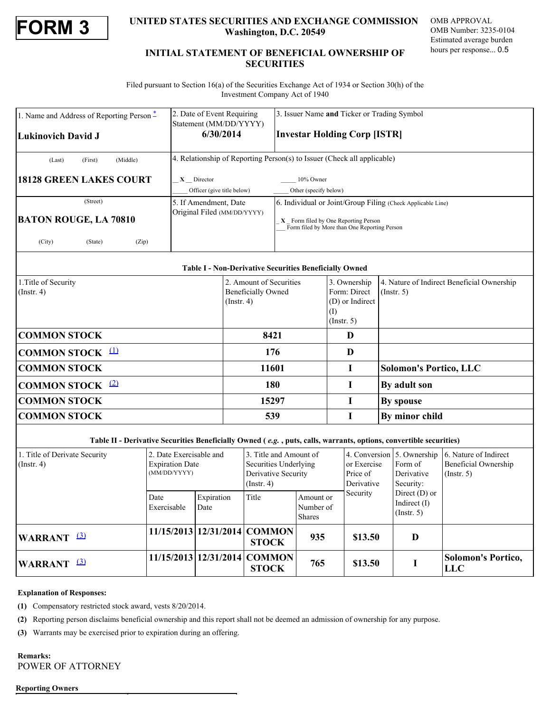

## **FORM 3**<br> **EXECURITIES SECURITIES AND EXCHANGE COMMISSION** OMB APPROVAL<br>
Mashington, D.C. 20549<br>
MB Number: 3235-0104<br>
Estimated average burden<br>
Estimated average burden **Washington, D.C. 20549**

OMB APPROVAL OMB Number: 3235-0104 Estimated average burden hours per response... 0.5

### **INITIAL STATEMENT OF BENEFICIAL OWNERSHIP OF SECURITIES**

 Filed pursuant to Section 16(a) of the Securities Exchange Act of 1934 or Section 30(h) of the Investment Company Act of 1940

| 1. Name and Address of Reporting Person <sup>*</sup> | 2. Date of Event Requiring<br>Statement (MM/DD/YYYY)                    | 3. Issuer Name and Ticker or Trading Symbol                                                                                                         |                                                            |                                            |  |  |  |
|------------------------------------------------------|-------------------------------------------------------------------------|-----------------------------------------------------------------------------------------------------------------------------------------------------|------------------------------------------------------------|--------------------------------------------|--|--|--|
| Lukinovich David J                                   | 6/30/2014                                                               |                                                                                                                                                     | <b>Investar Holding Corp [ISTR]</b>                        |                                            |  |  |  |
| (Middle)<br>(First)<br>(Last)                        | 4. Relationship of Reporting Person(s) to Issuer (Check all applicable) |                                                                                                                                                     |                                                            |                                            |  |  |  |
| <b>18128 GREEN LAKES COURT</b>                       | $X$ Director<br>Officer (give title below)                              | 10% Owner<br>Other (specify below)                                                                                                                  |                                                            |                                            |  |  |  |
| (Street)<br><b>BATON ROUGE, LA 70810</b>             | 5. If Amendment, Date<br>Original Filed (MM/DD/YYYY)                    | 6. Individual or Joint/Group Filing (Check Applicable Line)<br>X Form filed by One Reporting Person<br>Form filed by More than One Reporting Person |                                                            |                                            |  |  |  |
| (City)<br>(State)<br>(Zip)                           |                                                                         |                                                                                                                                                     |                                                            |                                            |  |  |  |
|                                                      | <b>Table I - Non-Derivative Securities Beneficially Owned</b>           |                                                                                                                                                     |                                                            |                                            |  |  |  |
| 1. Title of Security                                 | 2. Amount of Securities                                                 |                                                                                                                                                     | 3. Ownership                                               | 4. Nature of Indirect Beneficial Ownership |  |  |  |
| $($ Instr. 4 $)$                                     | <b>Beneficially Owned</b><br>$($ Instr. 4 $)$                           |                                                                                                                                                     | Form: Direct<br>(D) or Indirect<br>(I)<br>$($ Instr. 5 $)$ | $($ Instr. 5 $)$                           |  |  |  |

| <b>COMMON STOCK</b> $\frac{11}{2}$                                                                                 | 176   |                               |
|--------------------------------------------------------------------------------------------------------------------|-------|-------------------------------|
| <b>COMMON STOCK</b>                                                                                                | 11601 | <b>Solomon's Portico, LLC</b> |
| <b>COMMON STOCK</b> $(2)$                                                                                          | 180   | <b>By adult son</b>           |
| <b>COMMON STOCK</b>                                                                                                | 15297 | <b>By spouse</b>              |
| <b>COMMON STOCK</b>                                                                                                | 539   | By minor child                |
| Table II - Derivative Securities Beneficially Owned (e.g., puts, calls, warrants, options, convertible securities) |       |                               |

| 1. Title of Derivate Security<br>$($ Instr. 4 $)$ |                        | 2. Date Exercisable and<br><b>Expiration Date</b><br>(MM/DD/YYYY) |                    | 3. Title and Amount of<br>Securities Underlying<br>Derivative Security<br>$($ Instr. 4 $)$ |                                         | or Exercise<br>Price of<br>Derivative | Form of<br>Derivative<br>Security:                    | 4. Conversion 5. Ownership 6. Nature of Indirect<br>Beneficial Ownership<br>(Insert, 5) |
|---------------------------------------------------|------------------------|-------------------------------------------------------------------|--------------------|--------------------------------------------------------------------------------------------|-----------------------------------------|---------------------------------------|-------------------------------------------------------|-----------------------------------------------------------------------------------------|
|                                                   |                        | Date<br>Exercisable                                               | Expiration<br>Date | Title                                                                                      | Amount or<br>Number of<br><b>Shares</b> | Security                              | Direct $(D)$ or<br>Indirect $(I)$<br>$($ Instr. 5 $)$ |                                                                                         |
|                                                   | WARRANT <sup>(3)</sup> |                                                                   |                    | 11/15/2013   12/31/2014   COMMON  <br><b>STOCK</b>                                         | 935                                     | \$13.50                               | D                                                     |                                                                                         |
|                                                   | WARRANT <sup>(3)</sup> |                                                                   |                    | $11/15/2013$ $12/31/2014$ COMMON<br><b>STOCK</b>                                           | 765                                     | \$13.50                               |                                                       | <b>Solomon's Portico,</b><br>LLC                                                        |

### **Explanation of Responses:**

<span id="page-1-0"></span>**(1)** Compensatory restricted stock award, vests 8/20/2014.

<span id="page-1-1"></span>**(2)** Reporting person disclaims beneficial ownership and this report shall not be deemed an admission of ownership for any purpose.

**COMMON STOCK** 8421 D

<span id="page-1-2"></span>**(3)** Warrants may be exercised prior to expiration during an offering.

**Remarks:**  POWER OF ATTORNEY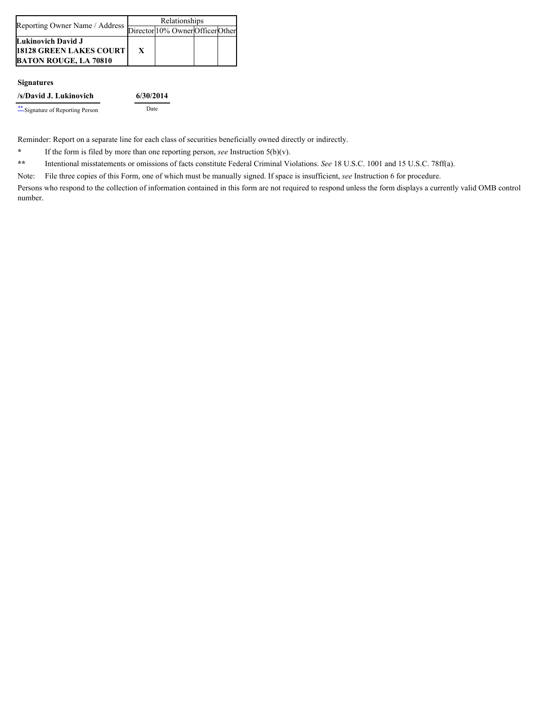| Reporting Owner Name / Address   | Relationships |                                  |  |  |
|----------------------------------|---------------|----------------------------------|--|--|
|                                  |               | Director 10% Owner Officer Other |  |  |
| Lukinovich David J               |               |                                  |  |  |
| <b>18128 GREEN LAKES COURT  </b> |               |                                  |  |  |
| <b>BATON ROUGE, LA 70810</b>     |               |                                  |  |  |

### **Signatures**

Reminder: Report on a separate line for each class of securities beneficially owned directly or indirectly.

<span id="page-2-0"></span>**\*** If the form is filed by more than one reporting person, *see* Instruction 5(b)(v).

<span id="page-2-1"></span>**\*\*** Intentional misstatements or omissions of facts constitute Federal Criminal Violations. *See* 18 U.S.C. 1001 and 15 U.S.C. 78ff(a).

Note: File three copies of this Form, one of which must be manually signed. If space is insufficient, *see* Instruction 6 for procedure.

Persons who respond to the collection of information contained in this form are not required to respond unless the form displays a currently valid OMB control number.